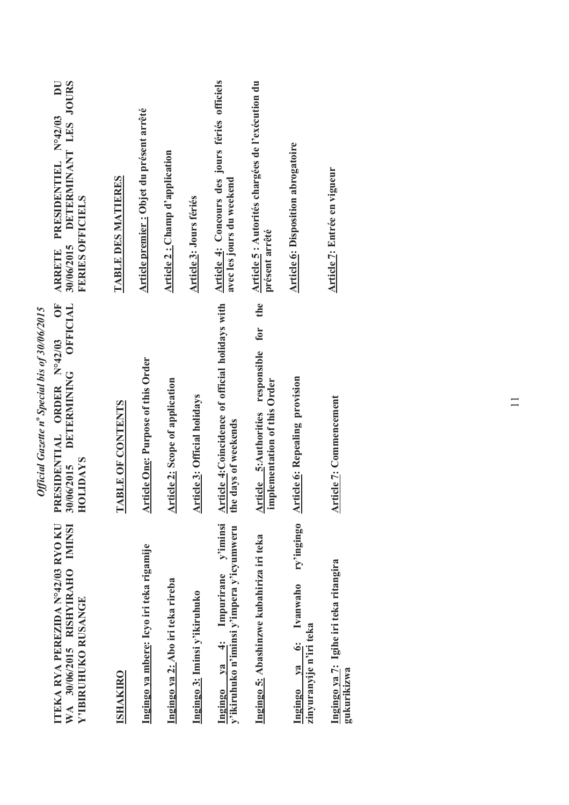| 30/06/2015 DETERMINANT LES JOURS<br>$\overline{\mathbf{D}}$<br>ARRETE PRESIDENTIEL Nº42/03<br><b>FERIES OFFICIELS</b><br><b>OFFICIAL</b><br>Č | TABLE DES MATIERES       | Article premier : Objet du présent arrêté | Article 2 : Champ d'application        | Article 3: Jours fériés             | Article 4: Concours des jours fériés officiels<br>avec les jours du weekend    | Article 5 : Autorités chargées de l'exécution du<br>présent arrêté<br>the<br>for   | <b>Article 6: Disposition abrogatoire</b>                       | <b>Article 7: Entrée en vigueur</b>                   |
|-----------------------------------------------------------------------------------------------------------------------------------------------|--------------------------|-------------------------------------------|----------------------------------------|-------------------------------------|--------------------------------------------------------------------------------|------------------------------------------------------------------------------------|-----------------------------------------------------------------|-------------------------------------------------------|
| PRESIDENTIAL ORDER Nº42/03<br>DETERMINING<br>30/06/2015<br><b>HOLIDAYS</b>                                                                    | <b>TABLE OF CONTENTS</b> | <b>Article One: Purpose of this Order</b> | <b>Article 2: Scope of application</b> | <b>Article 3: Official holidays</b> | <b>Article 4: Coincidence of official holidays with the days of weekends</b>   | responsible<br><b>Article 5:</b> Authorities respo<br>implementation of this Order | <b>Article 6: Repealing provision</b>                           | <b>Article 7: Commencement</b>                        |
| ITEKA RYA PEREZIDA N°42/03 RYO KU<br>WA 30/06/2015 RISHYIRAHO IMINSI<br>Y'IBIRUHUKO RUSANGE                                                   | <b>ISHAKIRO</b>          | Ingingo ya mbere: Icyo iri teka rigamije  | Ingingo ya 2: Abo iri teka rireba      | Ingingo 3: Iminsi y'ikiruhuko       | Ingingo ya 4: Impurirane y'iminsi<br>y'ikiruhuko n'iminsi y'impera y'icyumweru | Ingingo 5: Abashinzwe kubahiriza iri teka                                          | ry'ingingo<br>Ingingo ya 6: Ivanwaho<br>zinyuranyije n'iri teka | Ingingo ya 7: Igihe iri teka ritangira<br>gukurikizwa |

Official Gazette nº Special bis of 30/06/2015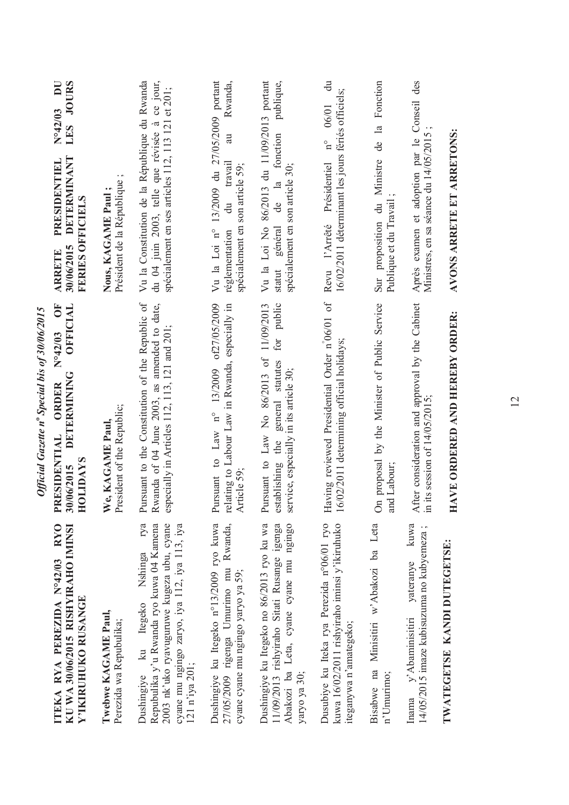|                                                                                                                                                                                                       | Official Gazette nº Special bis of 30/06/2015                                                                                                   |                                                                                                                                                         |
|-------------------------------------------------------------------------------------------------------------------------------------------------------------------------------------------------------|-------------------------------------------------------------------------------------------------------------------------------------------------|---------------------------------------------------------------------------------------------------------------------------------------------------------|
| <b>RYO</b><br>KU WA 30/06/2015 RISHYIRAHO IMINSI<br>ITEKA RYA PEREZIDA Nº42/03<br>Y'IKIRUHUKO RUSANGE                                                                                                 | ÖF<br>OFFICIAL<br>N°42/03<br>DETERMINING<br>PRESIDENTIAL ORDER<br>HOLIDAYS<br>30/06/2015                                                        | LES JOURS<br>$N^{\circ}42/03$ DU<br>DETERMINANT<br>PRESIDENTIEL<br><b>FERIES OFFICIELS</b><br>30/06/2015<br><b>ARRETE</b>                               |
| Twebwe KAGAME Paul,<br>Perezida wa Repubulika;                                                                                                                                                        | President of the Republic;<br>We, KAGAME Paul,                                                                                                  | Président de la République<br>Nous, KAGAME Paul;                                                                                                        |
| rya<br>Repubulika y'u Rwanda ryo kuwa 04 Kamena<br>cyane mu ngingo zaryo, iya 112, iya 113, iya<br>2003 nk'uko ryavuguruwe kugeza ubu, cyane<br>Nshinga<br>ku Itegeko<br>121 n'iya 201;<br>Dushingiye | Pursuant to the Constitution of the Republic of<br>Rwanda of 04 June 2003, as amended to date,<br>especially in Articles 112, 113, 121 and 201; | Vu la Constitution de la République du Rwanda<br>à ce jour,<br>spécialement en ses articles 112, 113 121 et 201;<br>du 04 juin 2003, telle que révisée  |
| Dushingiye ku Itegeko n°13/2009 ryo kuwa<br>Rwanda,<br>27/05/2009 rigenga Umurimo mu<br>cyane cyane mu ngingo yaryo ya 59;                                                                            | to Law n° 13/2009 of 27/05/2009<br>relating to Labour Law in Rwanda, especially in<br>Article 59;<br>Pursuant                                   | 13/2009 du 27/05/2009 portant<br>Rwanda,<br>$\overline{a}$<br>travail<br>spécialement en son article 59;<br>$\vec{a}$<br>Vu la Loi n°<br>réglementation |
| Dushingiye ku Itegeko no 86/2013 ryo ku wa<br>11/09/2013 rishyiraho Sitati Rusange igenga<br>Abakozi ba Leta, cyane cyane mu ngingo<br>yaryo ya 30;                                                   | for public<br>Pursuant to Law No 86/2013 of 11/09/2013<br>general statutes<br>service, especially in its article 30;<br>establishing the        | Vu la Loi No 86/2013 du 11/09/2013 portant<br>publique,<br>fonction<br>spécialement en son article 30;<br>statut général de la                          |
| Dusubiye ku Iteka rya Perezida n°06/01 ryo<br>kuwa 16/02/2011 rishyiraho iminsi y'ikiruhuko<br>iteganywa n'amategeko;                                                                                 | Having reviewed Presidential Order n°06/01 of<br>16/02/2011 determining official holidays;                                                      | $\ddot{a}$<br>16/02/2011 déterminant les jours fériés officiels;<br>$n^{\circ}$ 06/01<br>Présidentiel<br>Revu l'Arrêté                                  |
| Bisabwe na Minisitiri w'Abakozi ba Leta<br>n'Umurimo;                                                                                                                                                 | proposal by the Minister of Public Service<br>and Labour;<br>$\delta$                                                                           | Sur proposition du Ministre de la Fonction<br>Publique et du Travail                                                                                    |
| kuwa<br>14/05/2015 imaze kubisuzuma no kubyemeza;<br>TWATEGETSE KANDI DUTEGETSE:<br>yateranye<br>y' Abaminisitiri<br>Inama                                                                            | After consideration and approval by the Cabinet<br>in its session of $14/05/2015$ ;                                                             | Après examen et adoption par le Conseil des<br>Ministres, en sa séance du 14/05/2015                                                                    |
|                                                                                                                                                                                                       | HAVE ORDERED AND HEREBY ORDER:                                                                                                                  | AVONS ARRETE ET ARRETONS:                                                                                                                               |
|                                                                                                                                                                                                       |                                                                                                                                                 |                                                                                                                                                         |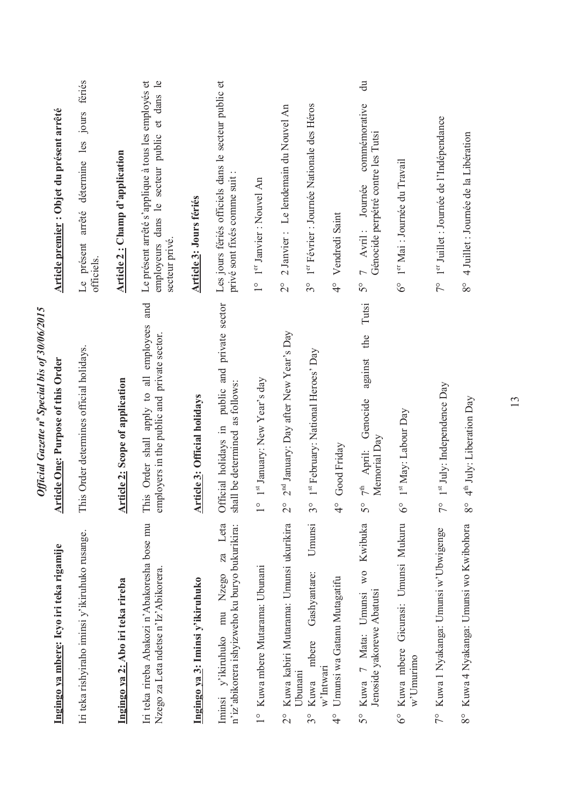|                                                                                                | Official Gazette nº Special bis of 30/06/2015                                                 |                                                                                                                                       |
|------------------------------------------------------------------------------------------------|-----------------------------------------------------------------------------------------------|---------------------------------------------------------------------------------------------------------------------------------------|
| Ingingo ya mbere: Icyo iri teka rigamije                                                       | <b>Article One: Purpose of this Order</b>                                                     | Article premier : Objet du présent arrêté                                                                                             |
| Iri teka rishyiraho iminsi y'ikiruhuko rusange.                                                | This Order determines official holidays.                                                      | Le présent arrêté détermine les jours fériés<br>officiels.                                                                            |
| Ingingo ya 2: Abo iri teka rireba                                                              | <b>Article 2: Scope of application</b>                                                        | <b>Article 2: Champ d'application</b>                                                                                                 |
| Iri teka rireba Abakozi n'Abakoresha bose mu<br>Nzego za Leta ndetse n'Iz' Abikorera.          | and<br>This Order shall apply to all employees<br>employers in the public and private sector. | Le présent arrêté s'applique à tous les employés et<br>$\mathbf{e}$<br>dans<br>employeurs dans le secteur public et<br>secteur privé. |
| Ingingo ya 3: Iminsi y'ikiruhuko                                                               | <b>Article 3: Official holidays</b>                                                           | Article 3: Jours fériés                                                                                                               |
| Leta<br>n'iz'abikorera ishyizweho ku buryo bukurikira:<br>za<br>v'ikiruhuko mu Nzego<br>Iminsi | public and private sector<br>shall be determined as follows:<br>Official holidays in          | Les jours fériés officiels dans le secteur public et<br>privé sont fixés comme suit :                                                 |
| 1° Kuwa mbere Mutarama: Ubunani                                                                | 1st January: New Year's day<br>$\frac{1}{\sqrt{2}}$                                           | 1 <sup>er</sup> Janvier : Nouvel An<br>$\frac{1}{1}$                                                                                  |
| Kuwa kabiri Mutarama: Umunsi ukurikira<br>$\overline{\mathcal{C}}$                             | 2 <sup>nd</sup> January: Day after New Year's Day<br>$\overset{\circ}{\sim}$                  | 2 Janvier : Le lendemain du Nouvel An<br>$\frac{1}{2}$                                                                                |
| Umunsi<br>Gashyantare:<br>mbere<br>w'Intwari<br>Ubunanı<br>Kuwa<br>$\mathcal{S}^{\circ}$       | 1st February: National Heroes' Day<br>$\mathcal{S}^{\circ}$                                   | 1 <sup>er</sup> Février : Journée Nationale des Héros<br>$3^{\circ}$                                                                  |
| Umunsi wa Gatanu Mutagatifu<br>$\frac{1}{4}$                                                   | Good Friday<br>$\frac{1}{4}$                                                                  | Vendredi Saint<br>$\frac{1}{4}$                                                                                                       |
| Kwibuka<br>W <sub>O</sub><br>Jenoside yakorewe Abatutsi<br>Umunsi<br>7 Mata:<br>Kuwa<br>50     | Tutsi<br>the<br>against<br>Genocide<br>Memorial Day<br>$7th$ April:<br>$\mathcal{S}^{\circ}$  | $\overline{d}$<br>commémorative<br>Génocide perpétré contre les Tutsi<br>Journée<br>7 Avril:<br>50                                    |
| Gicurasi: Umunsi Mukuru<br>Kuwa mbere<br>w'Umurimo<br>$\delta^{\circ}$                         | 1 <sup>st</sup> May: Labour Day<br>$\delta^{\circ}$                                           | 1er Mai : Journée du Travail<br>$6^\circ$                                                                                             |
| 7° Kuwa 1 Nyakanga: Umunsi w'Ubwigenge                                                         | 1 <sup>st</sup> July: Independence Day<br>$\sqrt{\ }$                                         | 1er Juillet : Journée de l'Indépendance<br>$7^{\circ}$                                                                                |
| 8° Kuwa 4 Nyakanga: Umunsi wo Kwibohora                                                        | 4 <sup>th</sup> July: Liberation Day<br>$8^{\circ}$                                           | 4 Juillet : Journée de la Libération<br>80                                                                                            |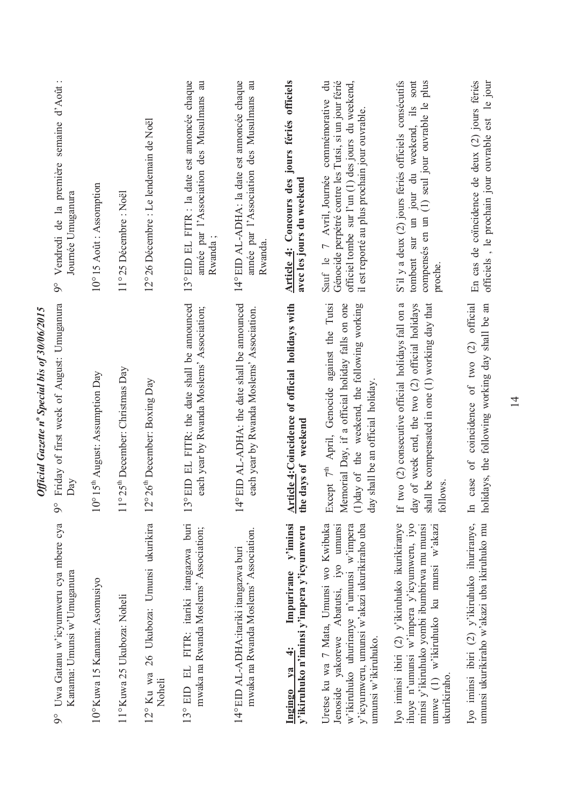|                                                                                                                                                                                                     | Official Gazette nº Special bis of 30/06/2015                                                                                                                                           |                                                                                                                                                                                                          |
|-----------------------------------------------------------------------------------------------------------------------------------------------------------------------------------------------------|-----------------------------------------------------------------------------------------------------------------------------------------------------------------------------------------|----------------------------------------------------------------------------------------------------------------------------------------------------------------------------------------------------------|
| Uwa Gatanu w'icyumweru cya mbere cya<br>Kanama: Umunsi w'Umuganura<br>$\overline{9}^{\circ}$                                                                                                        | Friday of first week of August: Umuganura<br>Day<br>$\delta$                                                                                                                            | Vendredi de la première semaine d'Août :<br>Journée Umuganura<br>$\delta$                                                                                                                                |
| 10° Kuwa 15 Kanama: Asomusiyo                                                                                                                                                                       | $10^{\circ}$ 15 <sup>th</sup> August: Assumption Day                                                                                                                                    | 10°15 Août: Assomption                                                                                                                                                                                   |
| 11° Kuwa 25 Ukuboza: Noheli                                                                                                                                                                         | 11°25 <sup>th</sup> December: Christmas Day                                                                                                                                             | 11°25 Décembre : Noël                                                                                                                                                                                    |
| 12° Ku wa 26 Ukuboza: Umunsi ukurikira<br>Noheli                                                                                                                                                    | °26 <sup>th</sup> December: Boxing Day<br>$\overline{2}$                                                                                                                                | 12°26 Décembre : Le lendemain de Noël                                                                                                                                                                    |
| 13° EID EL FITR: itariki itangazwa buri<br>mwaka na Rwanda Moslems' Association;                                                                                                                    | <sup>o</sup> EID EL FITR: the date shall be announced<br>each year by Rwanda Moslems' Association;<br>13                                                                                | 13°EID EL FITR : la date est annoncée chaque<br>année par l'Association des Musulmans au<br>Rwanda;                                                                                                      |
| mwaka na Rwanda Moslems' Association.<br>14°EID AL-ADHA:itariki itangazwa buri                                                                                                                      | <sup>o</sup> EID AL-ADHA: the date shall be amounced<br>each year by Rwanda Moslems' Association.<br>$\bar{4}$                                                                          | 14°EID AL-ADHA: la date est annoncée chaque<br>année par l'Association des Musulmans au<br>Rwanda                                                                                                        |
| Impurirane y'iminsi<br>y'ikiruhuko n'iminsi y'impera y'icyumweru<br>$\div$<br>$1$<br>Ingingo                                                                                                        | Article 4: Coincidence of official holidays with<br>weekend<br>the days of                                                                                                              | Article 4: Concours des jours fériés officiels<br>avec les jours du weekend                                                                                                                              |
| Uretse ku wa 7 Mata, Umunsi wo Kwibuka<br>Jenoside yakorewe Abatutsi, iyo umunsi<br>w'ikiruhuko uhuriranye n'umunsi w'impera<br>y'icyumweru, umunsi w'akazi ukurikiraho uba<br>umunsi w'ikiruhuko.  | Except $7th$ April, Genocide against the Tutsi<br>Memorial Day, if a official holiday falls on one<br>(1)day of the weekend, the following working<br>day shall be an official holiday. | Sauf le 7 Avril, Journée commémorative du<br>Génocide perpétré contre les Tutsi, si un jour férié<br>officiel tombe sur l'un (1) des jours du weekend,<br>il est reporté au plus prochain jour ouvrable. |
| Iyo iminsi ibiri (2) y'ikiruhuko ikurikiranye<br>ihuye n'umunsi w'impera y'icyumweru, iyo<br>minsi y'ikiruhuko yombi ibumbirwa mu munsi<br>(1) w'ikiruhuko ku munsi w'akazi<br>ukurikiraho.<br>umwe | two (2) consecutive official holidays fall on a<br>day of week end, the two (2) official holidays<br>shall be compensated in one (1) working day that<br>follows<br>H                   | S'il y a deux (2) jours fériés officiels consécutifs<br>tombent sur un jour du weekend, ils sont<br>compensés en un (1) seul jour ouvrable le plus<br>proche.                                            |
| umunsi ukurikiraho w'akazi uba ikiruhuko mu<br>Iyo iminsi ibiri (2) y'ikiruhuko ihuriranye,                                                                                                         | coincidence of two (2) official<br>holidays, the following working day shall be an<br>case of<br>$\mathbb{H}$                                                                           | En cas de coïncidence de deux (2) jours fériés<br>officiels, le prochain jour ouvrable est le jour                                                                                                       |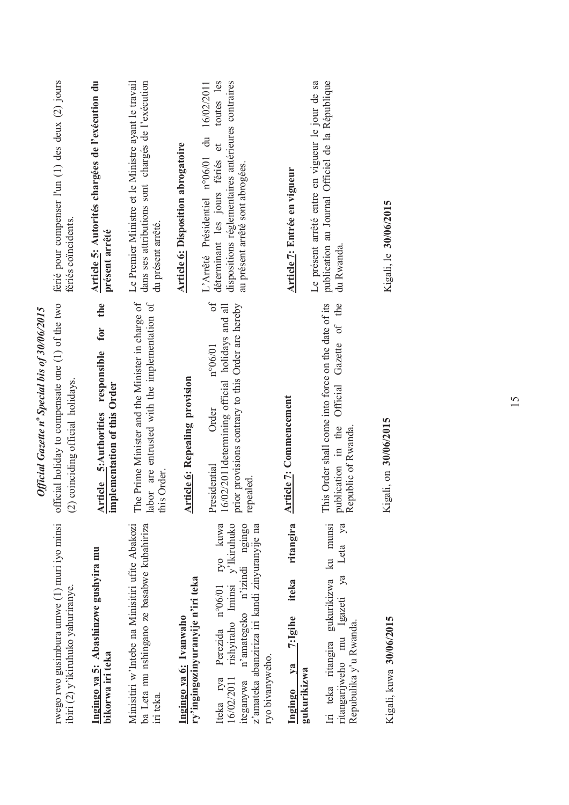| rwego rwo gusimbura umwe (1) muri iyo minsi<br>ibiri (2) y'ikiruhuko yahuriranye.                                                                                                                         | official holiday to compensate one (1) of the two<br>coinciding official holidays.<br>$\widehat{c}$                                                                            | férié pour compenser l'un (1) des deux (2) jours<br>fériés coïncidents.                                                                                                                      |
|-----------------------------------------------------------------------------------------------------------------------------------------------------------------------------------------------------------|--------------------------------------------------------------------------------------------------------------------------------------------------------------------------------|----------------------------------------------------------------------------------------------------------------------------------------------------------------------------------------------|
| Ingingo ya 5: Abashinzwe gushyira mu<br>bikorwa iri teka                                                                                                                                                  | the<br>responsible for<br>implementation of this Order<br><b>Article 5: Authorities</b>                                                                                        | Article 5: Autorités chargées de l'exécution du<br>présent arrêté                                                                                                                            |
| Minisitiri w'Intebe na Minisitiri ufite Abakozi<br>ba Leta mu nshingano ze basabwe kubahiriza<br>iri teka.                                                                                                | The Prime Minister and the Minister in charge of<br>labor are entrusted with the implementation of<br>this Order                                                               | Le Premier Ministre et le Ministre avant le travail<br>dans ses attributions sont chargés de l'exécution<br>du présent arrêté.                                                               |
| ry'ingingozinyuranyije n'iri teka<br>Ingingo ya 6: Ivanwaho                                                                                                                                               | <b>Article 6: Repealing provision</b>                                                                                                                                          | <b>Article 6: Disposition abrogatoire</b>                                                                                                                                                    |
| rishyiraho Iminsi y'Ikiruhuko<br>ryo kuwa<br>n'amategeko n'izindi ngingo<br>z'amateka abanziriza iri kandi zinyuranyije na<br>Perezida nº06/01<br>ryo bivanyweho.<br>iteganywa<br>Iteka rya<br>16/02/2011 | $\sigma$ f<br>prior provisions contrary to this Order are hereby<br>16/02/2011 determining official holidays and all<br>$n^{\circ}06/01$<br>Order<br>Presidential<br>repealed. | toutes les<br>dispositions réglementaires antérieures contraires<br>16/02/2011<br>du<br>déterminant les jours fériés et<br>L'Arrêté Présidentiel n°06/01<br>au présent arrêté sont abrogées. |
| ritangira<br>iteka<br>$2:$ Igihe<br>$1$<br>gukurikizwa<br>Ingingo                                                                                                                                         | <b>Article 7: Commencement</b>                                                                                                                                                 | Article 7: Entrée en vigueur                                                                                                                                                                 |
| Iri teka ritangira gukurikizwa ku munsi<br>Leta ya<br>ya<br>ritangarijweho mu Igazeti<br>Repubulika y'u Rwanda.                                                                                           | This Order shall come into force on the date of its<br>Official Gazette of the<br>publication in the<br>Republic of Rwanda.                                                    | publication au Journal Officiel de la République<br>Le présent arrêté entre en vigueur le jour de sa<br>du Rwanda.                                                                           |
| Kigali, kuwa 30/06/2015                                                                                                                                                                                   | Kigali, on 30/06/2015                                                                                                                                                          | Kigali, le 30/06/2015                                                                                                                                                                        |
|                                                                                                                                                                                                           |                                                                                                                                                                                |                                                                                                                                                                                              |

Official Gazette nº Special bis of 30/06/2015